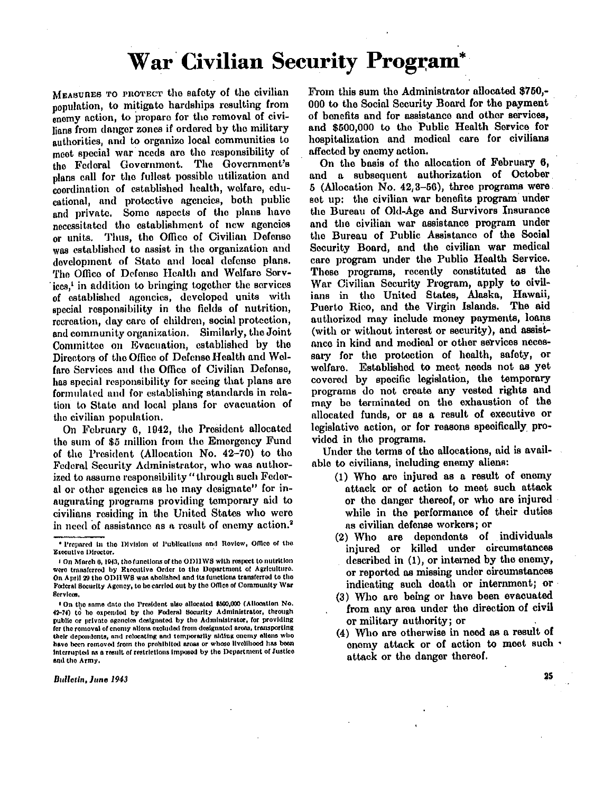# **War Civilian Security Program\***

MEASURES TO PROTECT the safety of the civilian population, to mitigate hardships resulting from enemy action, to prepare for the removal of civilians from danger zones if ordered by the military authorities, and to organize local communities to meet special war needs are the responsibility of the Federal Government. The Government's plans call for the fullest possible utilization and coordination of established health, welfare, educational, and protective agencies, both public and private. Some aspects of the plans have necessitated the establishment of now agencies or units. Thus, the Office of Civilian Defense was established to assist in the organization and development of State and local defense plans. The Office of Defense Health and Welfare Services,<sup>1</sup> in addition to bringing together the services of established agencies, developed units with special responsibility in the fields of nutrition, recreation, day care of children, social protection, and community organization. Similarly, the Joint Committee on Evacuation, established by the Directors of the Office of Defense Health and Welfare Services and the Office of Civilian Defense, has special responsibility for seeing that plans are formulated and for establishing standards in relation to State and local plans for evacuation of the civilian population.

On February 6, 1942, the President allocated the sum of \$5 million from the Emergency Fund of the President (Allocation No. 42-70) to the Federal Security Administrator, who was authorized to assume responsibility "through such Federal or other agencies as he may designate" for inaugurating programs providing temporary aid to civilians residing in the United States who were in need of assistance as a result of enemy action.<sup>2</sup>

Bulletin, June 1943

From this sum the Administrator allocated \$750,-000 to the Social Security Board for the payment of benefits and for assistance and other services, and \$500,000 to the Public Health Service for hospitalization and medical care for civilians affected by enemy action.

On the basis of the allocation of February 6, and a subsequent authorization of October 5 (Allocation No.  $42,3-56$ ), three programs were set up: the civilian war benefits program under the Bureau of Old-Age and Survivors Insurance and the civilian war assistance program under the Bureau of Public Assistance of the Social Security Board, and the civilian war medical care program under the Public Health Service. These programs, recently constituted as the War Civilian Security Program, apply to civilians in the United States, Alaska, Hawaii, Puerto Rico, and the Virgin Islands. The aid authorized may include money payments, loans (with or without interest or security), and assistance in kind and medical or other services necessary for the protection of health, safety, or welfare. Established to meet needs not as yet covered by specific legislation, the temporary programs do not create any vested rights and may be terminated on the exhaustion of the allocated funds, or as a result of executive or legislative action, or for reasons specifically provided in the programs.

Under the terms of the allocations, aid is available to civilians, including enemy aliens:

- $(1)$  Who are injured as a result of enemy attack or of action to meet such attack or the danger thereof, or who are injured while in the performance of their duties as civilian defense workers ; or
- (2) Who are dependents of individuals injured or killed under circumstances described in  $(1)$ , or interned by the enemy, or reported as missing under circumstances indicating such death or internment; or
- $(3)$  Who are being or have been evacuated from any area under the direction of civil or military authority; or
- (4) Who are otherwise in need as a result of enemy attack or of action to meet such . attack or the danger thereof.

25

<sup>\*</sup>Prepared in the Division of Publications and Review, Office of the Executive Director.

<sup>1</sup> On March 6, 1943, the functions of the ODHWS with respect to nutrition were transferred by Executive Order to the Department of Agriculture. On April 29 the ODHWS was abolished and its functions transferred to the Federal Security Agency, to be carried out by the Office of Community War Service.

<sup>&</sup>lt;sup>2</sup> On the same date the President also allocated \$500,000 (Allocation No. 42-74) to be expended by the Federal Security Administrator, through public or private agencies designated by the Administrator, for providing for the removal of enemy aliens excluded from designated areas, transporting their dependents, and relocating and temporarily aiding enemy aliens who have been removed from the prohibited areas or whose livelihood has been interrupted as a result of restrictions imposed by the Department of Justice and the Army .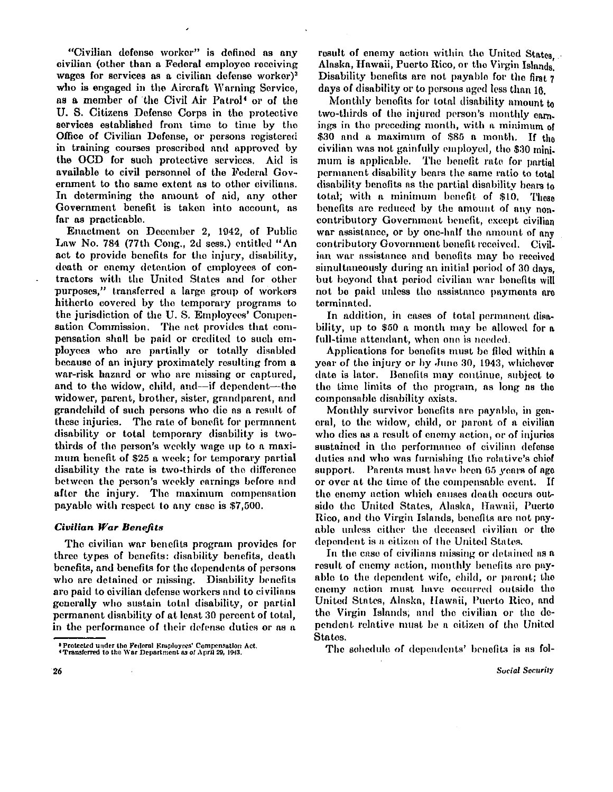**"Civilian defense worker" is defined as any civilian (other than a Federal employee receiving wages for services as a civilian defense worker) <sup>3</sup> who is engaged in the Aircraft Warning Service, as a member of the Civil Air Patrol <sup>4</sup> or of the U . S. Citizens Defense Corps in the protective services established from time to time by the Office of Civilian Defense, or persons registered in training courses prescribed and approved by the OC D for such protective services. Aid is available to civil personnel of the Federal Government to the same extent as to other civilians.**  In determining the amount of aid, any other **Government benefit is taken into account, as far as practicable.** 

**Enactment on December 2, 1942, of Public**  Law No. 784 (77th Cong., 2d sess.) entitled "An **act to provide benefits for the injury, disability, death or enemy detention of employees of contractors with the United States and for other purposes," transferred a large group of workers hitherto covered by the temporary programs to the jurisdiction of the U . S. Employees' Compensation Commission. The act provides that compensation shall be paid or credited to such employees who are partially or totally disabled because of an injury proximately resulting from a war-risk hazard or who are missing or captured, and to the widow, child, and—if dependent—the widower, parent, brother, sister, grandparent, and grandchild of such persons who die as a result of these injuries. The rate of benefit for permanent disability or total temporary disability is twothirds of the person's weekly wage up to a maxi**mum henefit of \$25 a week; for temporary partial **disability the rate is two-thirds of the difference between the person's weekly earnings before and after the injury. The maximum compensation payable with respect to any case is \$7,500.** 

# *Civilian War Benefits*

**T he civilian war benefits program provides for three types of benefits: disability benefits, death benefits, and benefits for the dependents of persons who are detained or missing. Disability benefits are paid to civilian defense workers and to civilians generally who sustain total disability, or partial permanent disability of at least 30 percent of total, in the performance of their defense duties or as a**  **result of enemy action within the United States Alaska, Hawaii, Puerto Rico, or the Virgin Islands. Disability benefits are not payable for the first 7 days of disability or to persons aged less than 16.** 

**Monthly benefits for total disability amount to two-thirds of the injured person's monthly earnings in the preceding month, with a minimum of \$30 and a maximum of \$85 a month. If the civilian was not gainfully employed, the \$30 minimum is applicable. The benefit rate for partial permanent disability bears the same ratio to total disability benefits as the partial disability bears to total; with a minimum benefit of \$10. These benefits are reduced by the amount of any noncontributory Government benefit, except civilian war assistance, or by one-half the amount of any contributory Government benefit received. Civilian war assistance and benefits may be received simultaneously during an initial period of 30 days, but beyond that period civilian war benefits will not be paid unless the assistance payments are terminated.** 

**In addition, in cases of total permanent disability, up to \$50 a month may be allowed for a full-time attendant, when one is needed.** 

**Applications for benefits must be filed within a year of the injury or by June 30, 1943, whichever date is later. Benefits may continue, subject to the time limits of the program, as long as the compensable disability exists.** 

**Monthly survivor benefits are payable, in general, to the widow, child, or parent of a civilian who dies as a result of enemy action, or of injuries sustained in the performance of civilian defense duties and who was furnishing the relative's chief support. Parents must have been 65 years of age or over at the time of the compensable event. If**  the enemy action which causes death occurs outside the United States, Alaska, Hawaii, Puerto Rico, and the Virgin Islands, benefits are not pay**able unless either the deceased civilian or the dependent is a citizen of the United States.** 

**In the case of civilians missing or detained as a result of enemy action, monthly benefits are payable to the dependent wife, child, or parent; the enemy action must have occurred outside the United States, Alaska, Hawaii, Puerto Rico, and the Virgin Islands; and the civilian or the dependent relative must be a citizen of the United States.** 

**T he schedule of dependents' benefits is as fol-**

<sup>3</sup> Protected under the Federal Employees' Compensation Act. <sup>4</sup>Transferred to the Wa r Department as of Apri l 29, 1943.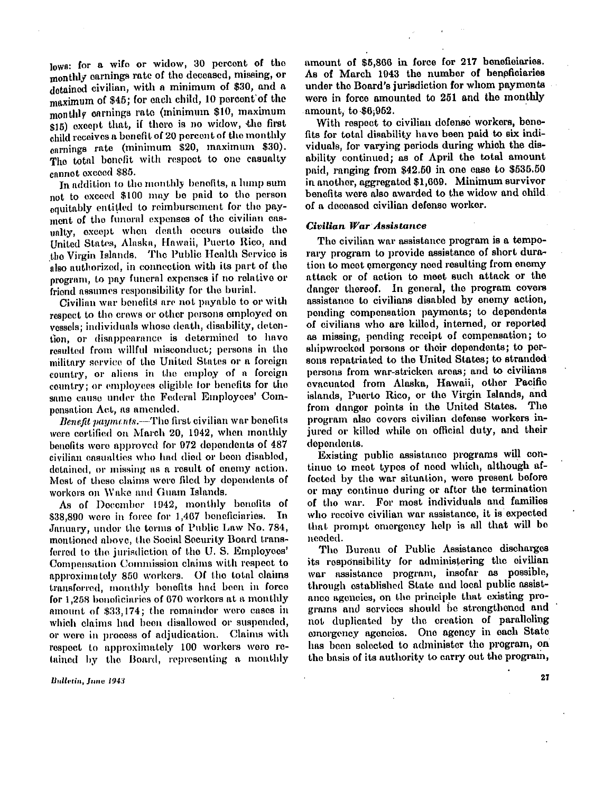**lows: for a wife or widow, 30 percent of the monthly earnings rate of the deceased, missing, or detained civilian, with a minimum of \$30, and a maximum of \$45; for each child, 10 percent of the monthly earnings rate (minimum \$10, maximum \$15) except that, if there is no widow, the first child receives a benefit of 20 percent of the monthly earnings rate (minimum \$20, maximum \$30). The total benefit with respect to one casualty cannot exceed \$85.** 

**In addition to the monthly benefits, a lump sum not to exceed \$100 may be paid to the person equitably entitled to reimbursement for the payment of the funeral expenses of the civilian casualty, except when death occurs outside the United States, Alaska, Hawaii, Puerto Rico, and the Virgin Islands. the Public Health Service is also authorized, in connection with its part of the program, to pay funeral expenses if no relative or friend assumes responsibility for the burial.** 

**Civilian war benefits are not payable to or with respect to the crews or other persons employed on vessels; individuals whose death, disability, detention, or disappearance is determined to have resulted from willful misconduct; persons in the military service of the United States or a foreign country, or aliens in the employ of a foreign country; or employees eligible for benefits for the same cause under the Federal Employees' Com**pensation Act, as amended.

*Benefit payments.***—the first civilian war benefits were certified on March 20, 1942, when monthly benefits were approved for 972 dependents of 487 civilian casualties who had died or been disabled, detained, or missing as a result of enemy action. Most of these claims were filed by dependents of workers on Wake and Guam Islands.** 

**As of December 1942, monthly benefits of \$38,890 were in force for 1,467 beneficiaries. In January, under the terms of Public Law No. 784, mentioned above, the Social Security Board transferred to the jurisdiction of the U . S. Employees' Compensation Commission claims with respect to approximately 850 workers. Of the total claims transferred, monthly benefits had been in force for 1,258 beneficiaries of 670 workers at a monthly amount of \$33,174; the remainder were cases in which claims had been disallowed or suspended, or were in process of adjudication. Claims with respect to approximately 100 workers were retained by the Board, representing a monthly** 

Bulletin, June 1943

**amount of \$5,866 in force for 217 beneficiaries. As of March 1943 the number of beneficiaries under the Board's jurisdiction for whom payments were in force amounted to 251 and the monthly amount, to \$6,952.** 

**With respect to civilian defense workers, benefits for total disability have been paid to six individuals, for varying periods during which the disability continued; as of April the total amount paid, ranging from \$42.50 in one case to \$535.50 in another, aggregated \$1,669. Minimum survivor benefits were also awarded to the widow and child of a deceased civilian defense worker.** 

### *Civilian War Assistance*

The civilian war assistance program is a tempo**rary program to provide assistance of short duration to meet emergency need resulting from enemy attack or of action to meet such attack or the**  danger thereof. In general, the program covers **assistance to civilians disabled by enemy action, ponding compensation payments; to dependents of civilians who are killed, interned, or reported as missing, pending receipt of compensation; to shipwrecked persons or their dependents; to persons repatriated to the United States; to stranded persons from war-stricken areas; and to civilians evacuated from Alaska, Hawaii, other Pacific islands, Puerto Rico, or the Virgin Islands, and from danger points in the United States. The program also covers civilian defense workers injured or killed while on official duty, and their dependents.** 

**Existing public assistance programs will con**tinue to meet types of need which, although af**fected by the war situation, were present before or may continue during or after the termination of the war. For most individuals and families**  who receive civilian war assistance, it is expected **that prompt emergency help is all that will be needed.** 

**The Bureau of Public Assistance discharges its responsibility for administering the civilian war assistance program, insofar as possible, through established State and local public assistance agencies, on the principle that existing programs and services should be strengthened and not duplicated by the creation of paralleling emergency agencies. One agency in each State has been selected to administer the program, on the basis of its authority to carry out the program,** 

27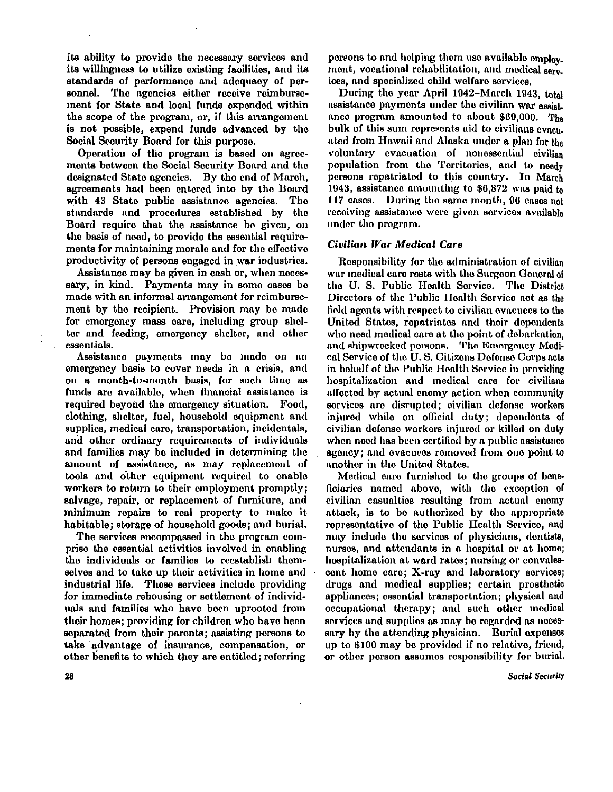its ability to provide the necessary services and its willingness to utilize existing facilities, and its standards of performance and adequacy of personnel. The agencies either receive reimbursement for State and local funds expended within the scope of the program, or, if this arrangement is not possible, expend funds advanced by the Social Security Board for this purpose.

Operation of the program is based on agreements between the Social Security Board and the designated State agencies. By the end of March, agreements had been entered into by the Board with 43 State public assistance agencies. The standards and procedures established by the Board require that the assistance be given, on the basis of need, to provide the essential requirements for maintaining morale and for the effective productivity of persons engaged in war industries.

Assistance may be given in cash or, when necessary, in kind. Payments may in some cases be made with an informal arrangement for reimbursement by the recipient. Provision may be made for emergency mass care, including group shelter and feeding, emergency shelter, and other essentials.

Assistance payments may be made on an emergency basis to cover needs in a crisis, and on a month-to-month basis, for such time as funds are available, when financial assistance is required beyond the emergency situation. Food, clothing, shelter, fuel, household equipment and supplies, medical care, transportation, incidentals, and other ordinary requirements of individuals and families may be included in determining the amount of assistance, as may replacement of tools and other equipment required to enable workers to return to their employment promptly; salvage, repair, or replacement of furniture, and minimum repairs to real property to make it habitable; storage of household goods; and burial.

The services encompassed in the program comprise the essential activities involved in enabling the individuals or families to reestablish themselves and to take up their activities in home and industrial life. These services include providing for immediate rehousing or settlement of individuals and families who have been uprooted from their homes; providing for children who have been separated from their parents; assisting persons to take advantage of insurance, compensation, or other benefits to which they are entitled; referring

**persons to and helping them use available employ**ment, vocational rehabilitation, and medical serv**ices, and specialized child welfare services.** 

**During the year April 1942-March 1943, total assistance payments under the civilian war assist, ance program amounted to about \$69,000. The bulk of this sum represents aid to civilians evacuated from Hawaii and Alaska under a plan for the voluntary evacuation of nonessential civilian population from the Territories, and to needy**  persons repatriated to this country. In March **1943, assistance amounting to \$6,872 was paid to 117 cases. During the same month, 96 cases not receiving assistance were given services available under the program.** 

# *Civilian War Medical Care*

**Responsibility for the administration of civilian war medical care rests with the Surgeon General of the U . S. Public Health Service. The District Directors of the Public Health Service act as the field agents with respect to civilian evacuees to the United States, repatriates and their dependents who need medical care at the point of debarkation, and shipwrecked persons. The Emergency Medical Service of the U . S. Citizens Defense Corps acts in behalf of the Public Health Service in providing hospitalization and medical care for civilians affected by actual enemy action when community services are disrupted; civilian defense workers injured while on official duty; dependents of civilian defense workers injured or killed on duty when need has been certified by a public assistance agency; and evacuees removed from one point to another in the United States.** 

**Medical care furnished to the groups of beneficiaries named above, with the exception of civilian casualties resulting from actual enemy attack, is to be authorized by the appropriate representative of the Public Health Service, and may include the services of physicians, dentists, nurses, and attendants in a hospital or at home; hospitalization at ward rates; nursing or convales**cent home care; X-ray and laboratory services; **drugs and medical supplies; certain prosthetic appliances; essential transportation; physical and occupational therapy; and such other medical services and supplies as may be regarded as necessary by the attending physician. Burial expenses up to \$100 may be provided if no relative, friend, or other person assumes responsibility for burial.** 

**Social Security** 

28